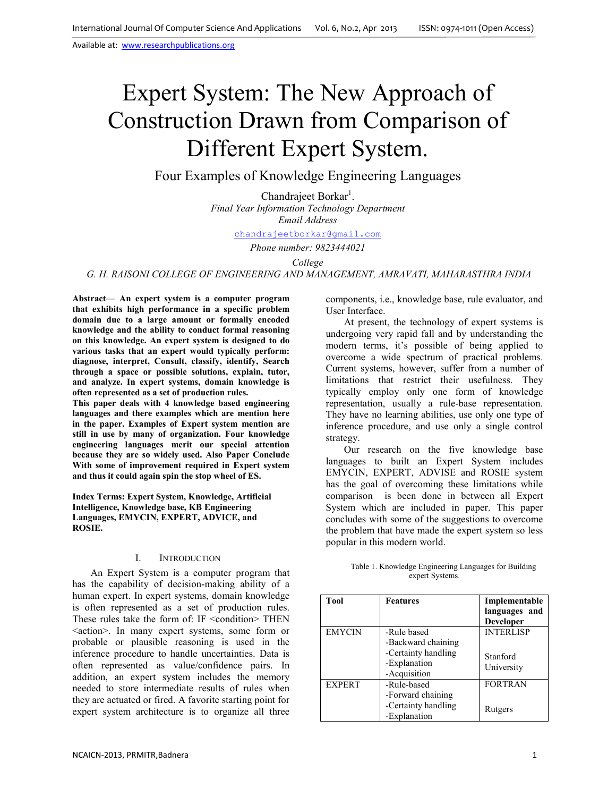# Expert System: The New Approach of Construction Drawn from Comparison of Different Expert System.

## Four Examples of Knowledge Engineering Languages

Chandrajeet Borkar<sup>1</sup>. *Final Year Information Technology Department Email Address* 

chandrajeetborkar@gmail.com

*Phone number: 9823444021* 

*College* 

#### *G. H. RAISONI COLLEGE OF ENGINEERING AND MANAGEMENT, AMRAVATI, MAHARASTHRA INDIA*

**Abstract**— **An expert system is a computer program that exhibits high performance in a specific problem domain due to a large amount or formally encoded knowledge and the ability to conduct formal reasoning on this knowledge. An expert system is designed to do various tasks that an expert would typically perform: diagnose, interpret, Consult, classify, identify, Search through a space or possible solutions, explain, tutor, and analyze. In expert systems, domain knowledge is often represented as a set of production rules.** 

**This paper deals with 4 knowledge based engineering languages and there examples which are mention here in the paper. Examples of Expert system mention are still in use by many of organization. Four knowledge engineering languages merit our special attention because they are so widely used. Also Paper Conclude With some of improvement required in Expert system and thus it could again spin the stop wheel of ES.** 

**Index Terms: Expert System, Knowledge, Artificial Intelligence, Knowledge base, KB Engineering Languages, EMYCIN, EXPERT, ADVICE, and ROSIE.** 

### I. INTRODUCTION

An Expert System is a computer program that has the capability of decision-making ability of a human expert. In expert systems, domain knowledge is often represented as a set of production rules. These rules take the form of: IF <condition> THEN <action>. In many expert systems, some form or probable or plausible reasoning is used in the inference procedure to handle uncertainties. Data is often represented as value/confidence pairs. In addition, an expert system includes the memory needed to store intermediate results of rules when they are actuated or fired. A favorite starting point for expert system architecture is to organize all three

components, i.e., knowledge base, rule evaluator, and User Interface.

At present, the technology of expert systems is undergoing very rapid fall and by understanding the modern terms, it's possible of being applied to overcome a wide spectrum of practical problems. Current systems, however, suffer from a number of limitations that restrict their usefulness. They typically employ only one form of knowledge representation, usually a rule-base representation. They have no learning abilities, use only one type of inference procedure, and use only a single control strategy.

Our research on the five knowledge base languages to built an Expert System includes EMYCIN, EXPERT, ADVISE and ROSIE system has the goal of overcoming these limitations while comparison is been done in between all Expert System which are included in paper. This paper concludes with some of the suggestions to overcome the problem that have made the expert system so less popular in this modern world.

#### Table 1. Knowledge Engineering Languages for Building expert Systems.

| <b>Tool</b>   | <b>Features</b>                                                                          | Implementable<br>languages and<br><b>Developer</b> |
|---------------|------------------------------------------------------------------------------------------|----------------------------------------------------|
| <b>EMYCIN</b> | -Rule based<br>-Backward chaining<br>-Certainty handling<br>-Explanation<br>-Acquisition | <b>INTERLISP</b><br>Stanford<br>University         |
| <b>EXPERT</b> | -Rule-based<br>-Forward chaining<br>-Certainty handling<br>-Explanation                  | <b>FORTRAN</b><br>Rutgers                          |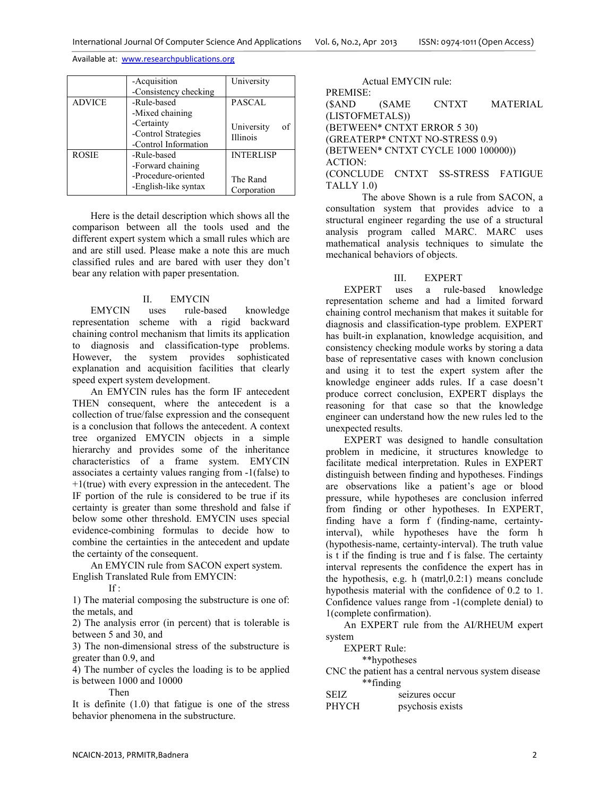|               | -Acquisition<br>-Consistency checking                                           | University                                  |
|---------------|---------------------------------------------------------------------------------|---------------------------------------------|
| <b>ADVICE</b> | -Rule-based<br>-Mixed chaining                                                  | <b>PASCAL</b>                               |
|               | -Certainty<br>-Control Strategies<br>-Control Information                       | University<br>of<br><b>Illinois</b>         |
| <b>ROSIE</b>  | -Rule-based<br>-Forward chaining<br>-Procedure-oriented<br>-English-like syntax | <b>INTERLISP</b><br>The Rand<br>Corporation |

Here is the detail description which shows all the comparison between all the tools used and the different expert system which a small rules which are and are still used. Please make a note this are much classified rules and are bared with user they don't bear any relation with paper presentation.

## II. EMYCIN

EMYCIN uses rule-based knowledge representation scheme with a rigid backward chaining control mechanism that limits its application to diagnosis and classification-type problems. However, the system provides sophisticated explanation and acquisition facilities that clearly speed expert system development.

An EMYCIN rules has the form IF antecedent THEN consequent, where the antecedent is a collection of true/false expression and the consequent is a conclusion that follows the antecedent. A context tree organized EMYCIN objects in a simple hierarchy and provides some of the inheritance characteristics of a frame system. EMYCIN associates a certainty values ranging from -1(false) to  $+1$ (true) with every expression in the antecedent. The IF portion of the rule is considered to be true if its certainty is greater than some threshold and false if below some other threshold. EMYCIN uses special evidence-combining formulas to decide how to combine the certainties in the antecedent and update the certainty of the consequent.

An EMYCIN rule from SACON expert system. English Translated Rule from EMYCIN:

If :

1) The material composing the substructure is one of: the metals, and

2) The analysis error (in percent) that is tolerable is between 5 and 30, and

3) The non-dimensional stress of the substructure is greater than 0.9, and

4) The number of cycles the loading is to be applied is between 1000 and 10000

Then

It is definite (1.0) that fatigue is one of the stress behavior phenomena in the substructure.

Actual EMYCIN rule: PREMISE: (\$AND (SAME CNTXT MATERIAL (LISTOFMETALS)) (BETWEEN\* CNTXT ERROR 5 30) (GREATERP\* CNTXT NO-STRESS 0.9) (BETWEEN\* CNTXT CYCLE 1000 100000)) ACTION: (CONCLUDE CNTXT SS-STRESS FATIGUE TALLY 1.0)

 The above Shown is a rule from SACON, a consultation system that provides advice to a structural engineer regarding the use of a structural analysis program called MARC. MARC uses mathematical analysis techniques to simulate the mechanical behaviors of objects.

## III. EXPERT

EXPERT uses a rule-based knowledge representation scheme and had a limited forward chaining control mechanism that makes it suitable for diagnosis and classification-type problem. EXPERT has built-in explanation, knowledge acquisition, and consistency checking module works by storing a data base of representative cases with known conclusion and using it to test the expert system after the knowledge engineer adds rules. If a case doesn't produce correct conclusion, EXPERT displays the reasoning for that case so that the knowledge engineer can understand how the new rules led to the unexpected results.

EXPERT was designed to handle consultation problem in medicine, it structures knowledge to facilitate medical interpretation. Rules in EXPERT distinguish between finding and hypotheses. Findings are observations like a patient's age or blood pressure, while hypotheses are conclusion inferred from finding or other hypotheses. In EXPERT, finding have a form f (finding-name, certaintyinterval), while hypotheses have the form h (hypothesis-name, certainty-interval). The truth value is t if the finding is true and f is false. The certainty interval represents the confidence the expert has in the hypothesis, e.g. h (matrl,0.2:1) means conclude hypothesis material with the confidence of 0.2 to 1. Confidence values range from -1(complete denial) to 1(complete confirmation).

An EXPERT rule from the AI/RHEUM expert system

EXPERT Rule:

\*\*hypotheses

CNC the patient has a central nervous system disease \*\*finding

| SEIZ  | seizures occur   |
|-------|------------------|
| PHYCH | psychosis exists |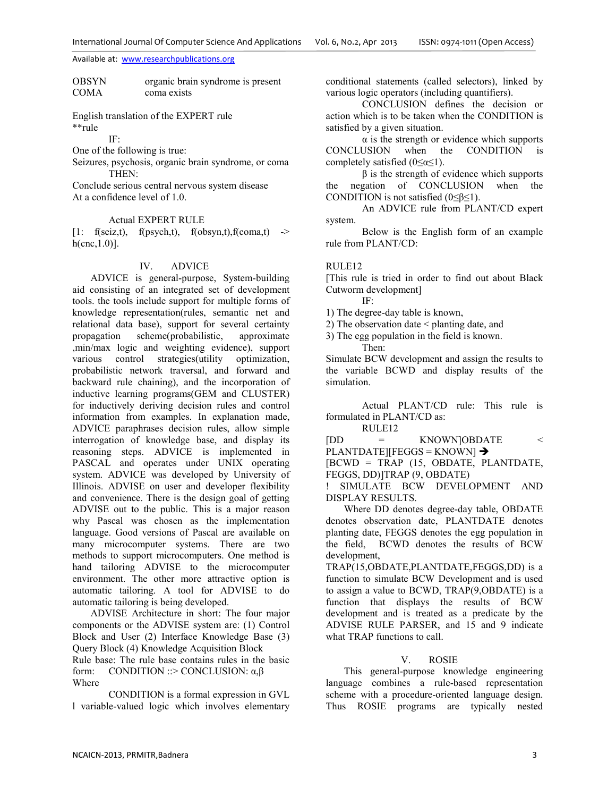#### OBSYN organic brain syndrome is present COMA coma exists

English translation of the EXPERT rule \*\*rule

IF:

One of the following is true:

Seizures, psychosis, organic brain syndrome, or coma THEN:

Conclude serious central nervous system disease At a confidence level of 1.0.

#### Actual EXPERT RULE

 $[1:$  f(seiz,t), f(psych,t), f(obsyn,t), f(coma,t) ->  $h(\text{cnc},1.0)$ ].

#### IV. ADVICE

ADVICE is general-purpose, System-building aid consisting of an integrated set of development tools. the tools include support for multiple forms of knowledge representation(rules, semantic net and relational data base), support for several certainty propagation scheme(probabilistic, approximate ,min/max logic and weighting evidence), support various control strategies(utility optimization, probabilistic network traversal, and forward and backward rule chaining), and the incorporation of inductive learning programs(GEM and CLUSTER) for inductively deriving decision rules and control information from examples. In explanation made, ADVICE paraphrases decision rules, allow simple interrogation of knowledge base, and display its reasoning steps. ADVICE is implemented in PASCAL and operates under UNIX operating system. ADVICE was developed by University of Illinois. ADVISE on user and developer flexibility and convenience. There is the design goal of getting ADVISE out to the public. This is a major reason why Pascal was chosen as the implementation language. Good versions of Pascal are available on many microcomputer systems. There are two methods to support microcomputers. One method is hand tailoring ADVISE to the microcomputer environment. The other more attractive option is automatic tailoring. A tool for ADVISE to do automatic tailoring is being developed.

ADVISE Architecture in short: The four major components or the ADVISE system are: (1) Control Block and User (2) Interface Knowledge Base (3) Query Block (4) Knowledge Acquisition Block

Rule base: The rule base contains rules in the basic form: CONDITION :: > CONCLUSION:  $\alpha, \beta$ Where

CONDITION is a formal expression in GVL l variable-valued logic which involves elementary conditional statements (called selectors), linked by various logic operators (including quantifiers).

CONCLUSION defines the decision or action which is to be taken when the CONDITION is satisfied by a given situation.

 $\alpha$  is the strength or evidence which supports CONCLUSION when the CONDITION is completely satisfied  $(0 \le \alpha \le 1)$ .

 $β$  is the strength of evidence which supports the negation of CONCLUSION when the CONDITION is not satisfied (0≤β≤1).

An ADVICE rule from PLANT/CD expert system.

Below is the English form of an example rule from PLANT/CD:

## RULE12

[This rule is tried in order to find out about Black Cutworm development]

IF:

1) The degree-day table is known,

2) The observation date < planting date, and

3) The egg population in the field is known. Then:

Simulate BCW development and assign the results to the variable BCWD and display results of the simulation.

Actual PLANT/CD rule: This rule is formulated in PLANT/CD as: RULE12

[DD = KNOWN]OBDATE <  $PLANTDATE$  [FEGGS = KNOWN]  $\rightarrow$ 

[BCWD = TRAP (15, OBDATE, PLANTDATE, FEGGS, DD)]TRAP (9, OBDATE)

! SIMULATE BCW DEVELOPMENT AND DISPLAY RESULTS.

Where DD denotes degree-day table, OBDATE denotes observation date, PLANTDATE denotes planting date, FEGGS denotes the egg population in the field, BCWD denotes the results of BCW development,

TRAP(15,OBDATE,PLANTDATE,FEGGS,DD) is a function to simulate BCW Development and is used to assign a value to BCWD, TRAP(9,OBDATE) is a function that displays the results of BCW development and is treated as a predicate by the ADVISE RULE PARSER, and 15 and 9 indicate what TRAP functions to call.

## V. ROSIE

This general-purpose knowledge engineering language combines a rule-based representation scheme with a procedure-oriented language design. Thus ROSIE programs are typically nested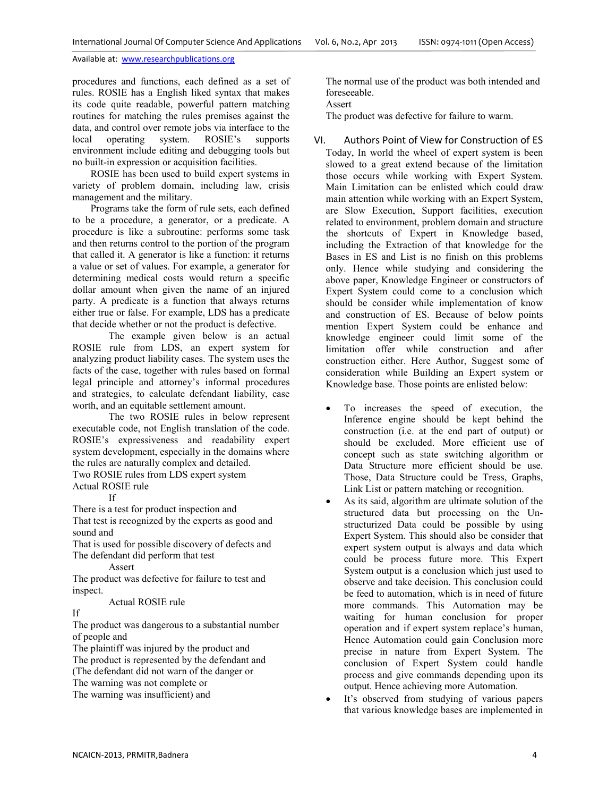procedures and functions, each defined as a set of rules. ROSIE has a English liked syntax that makes its code quite readable, powerful pattern matching routines for matching the rules premises against the data, and control over remote jobs via interface to the local operating system. ROSIE's supports local operating system. ROSIE's supports environment include editing and debugging tools but no built-in expression or acquisition facilities.

ROSIE has been used to build expert systems in variety of problem domain, including law, crisis management and the military.

Programs take the form of rule sets, each defined to be a procedure, a generator, or a predicate. A procedure is like a subroutine: performs some task and then returns control to the portion of the program that called it. A generator is like a function: it returns a value or set of values. For example, a generator for determining medical costs would return a specific dollar amount when given the name of an injured party. A predicate is a function that always returns either true or false. For example, LDS has a predicate that decide whether or not the product is defective.

The example given below is an actual ROSIE rule from LDS, an expert system for analyzing product liability cases. The system uses the facts of the case, together with rules based on formal legal principle and attorney's informal procedures and strategies, to calculate defendant liability, case worth, and an equitable settlement amount.

The two ROSIE rules in below represent executable code, not English translation of the code. ROSIE's expressiveness and readability expert system development, especially in the domains where the rules are naturally complex and detailed. Two ROSIE rules from LDS expert system

Actual ROSIE rule

If

There is a test for product inspection and That test is recognized by the experts as good and sound and

That is used for possible discovery of defects and The defendant did perform that test

Assert

The product was defective for failure to test and inspect.

Actual ROSIE rule

## If

The product was dangerous to a substantial number of people and

The plaintiff was injured by the product and The product is represented by the defendant and (The defendant did not warn of the danger or The warning was not complete or

The warning was insufficient) and

The normal use of the product was both intended and foreseeable.

Assert

The product was defective for failure to warm.

- VI. Authors Point of View for Construction of ES Today, In world the wheel of expert system is been slowed to a great extend because of the limitation those occurs while working with Expert System. Main Limitation can be enlisted which could draw main attention while working with an Expert System, are Slow Execution, Support facilities, execution related to environment, problem domain and structure the shortcuts of Expert in Knowledge based, including the Extraction of that knowledge for the Bases in ES and List is no finish on this problems only. Hence while studying and considering the above paper, Knowledge Engineer or constructors of Expert System could come to a conclusion which should be consider while implementation of know and construction of ES. Because of below points mention Expert System could be enhance and knowledge engineer could limit some of the limitation offer while construction and after construction either. Here Author, Suggest some of consideration while Building an Expert system or Knowledge base. Those points are enlisted below:
	- To increases the speed of execution, the Inference engine should be kept behind the construction (i.e. at the end part of output) or should be excluded. More efficient use of concept such as state switching algorithm or Data Structure more efficient should be use. Those, Data Structure could be Tress, Graphs, Link List or pattern matching or recognition.
	- As its said, algorithm are ultimate solution of the structured data but processing on the Unstructurized Data could be possible by using Expert System. This should also be consider that expert system output is always and data which could be process future more. This Expert System output is a conclusion which just used to observe and take decision. This conclusion could be feed to automation, which is in need of future more commands. This Automation may be waiting for human conclusion for proper operation and if expert system replace's human, Hence Automation could gain Conclusion more precise in nature from Expert System. The conclusion of Expert System could handle process and give commands depending upon its output. Hence achieving more Automation.
	- It's observed from studying of various papers that various knowledge bases are implemented in